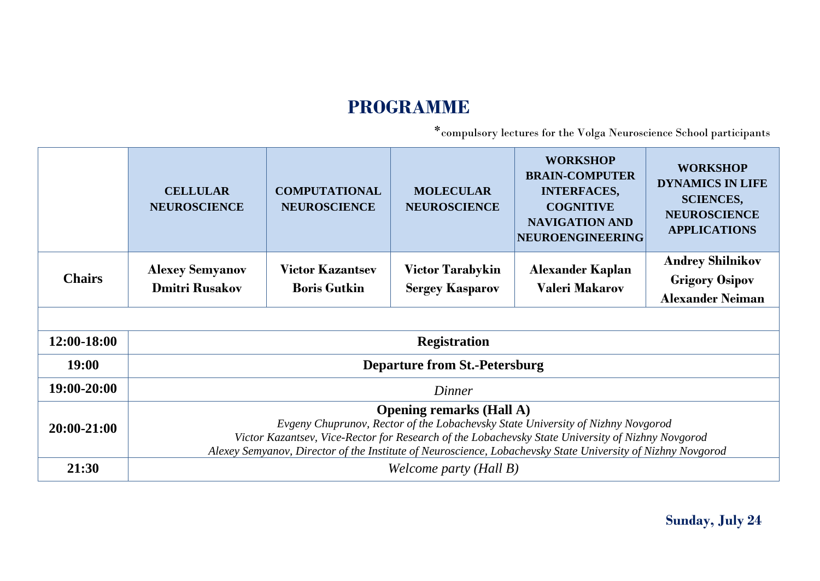# **PROGRAMME**

\*compulsory lectures for the Volga Neuroscience School participants

|               | <b>CELLULAR</b><br><b>NEUROSCIENCE</b>                                                                                                                                                                                                                                                                                                 | <b>COMPUTATIONAL</b><br><b>NEUROSCIENCE</b>    | <b>MOLECULAR</b><br><b>NEUROSCIENCE</b>           | <b>WORKSHOP</b><br><b>BRAIN-COMPUTER</b><br><b>INTERFACES,</b><br><b>COGNITIVE</b><br><b>NAVIGATION AND</b><br>NEUROENGINEERING | <b>WORKSHOP</b><br><b>DYNAMICS IN LIFE</b><br><b>SCIENCES,</b><br><b>NEUROSCIENCE</b><br><b>APPLICATIONS</b> |  |
|---------------|----------------------------------------------------------------------------------------------------------------------------------------------------------------------------------------------------------------------------------------------------------------------------------------------------------------------------------------|------------------------------------------------|---------------------------------------------------|---------------------------------------------------------------------------------------------------------------------------------|--------------------------------------------------------------------------------------------------------------|--|
| <b>Chairs</b> | <b>Alexey Semyanov</b><br><b>Dmitri Rusakov</b>                                                                                                                                                                                                                                                                                        | <b>Victor Kazantsev</b><br><b>Boris Gutkin</b> | <b>Victor Tarabykin</b><br><b>Sergey Kasparov</b> | <b>Alexander Kaplan</b><br><b>Valeri Makarov</b>                                                                                | <b>Andrey Shilnikov</b><br><b>Grigory Osipov</b><br><b>Alexander Neiman</b>                                  |  |
|               |                                                                                                                                                                                                                                                                                                                                        |                                                |                                                   |                                                                                                                                 |                                                                                                              |  |
| 12:00-18:00   |                                                                                                                                                                                                                                                                                                                                        | <b>Registration</b>                            |                                                   |                                                                                                                                 |                                                                                                              |  |
| 19:00         |                                                                                                                                                                                                                                                                                                                                        |                                                | <b>Departure from St.-Petersburg</b>              |                                                                                                                                 |                                                                                                              |  |
| 19:00-20:00   |                                                                                                                                                                                                                                                                                                                                        |                                                | Dinner                                            |                                                                                                                                 |                                                                                                              |  |
| 20:00-21:00   | <b>Opening remarks (Hall A)</b><br>Evgeny Chuprunov, Rector of the Lobachevsky State University of Nizhny Novgorod<br>Victor Kazantsev, Vice-Rector for Research of the Lobachevsky State University of Nizhny Novgorod<br>Alexey Semyanov, Director of the Institute of Neuroscience, Lobachevsky State University of Nizhny Novgorod |                                                |                                                   |                                                                                                                                 |                                                                                                              |  |
| 21:30         |                                                                                                                                                                                                                                                                                                                                        | Welcome party (Hall B)                         |                                                   |                                                                                                                                 |                                                                                                              |  |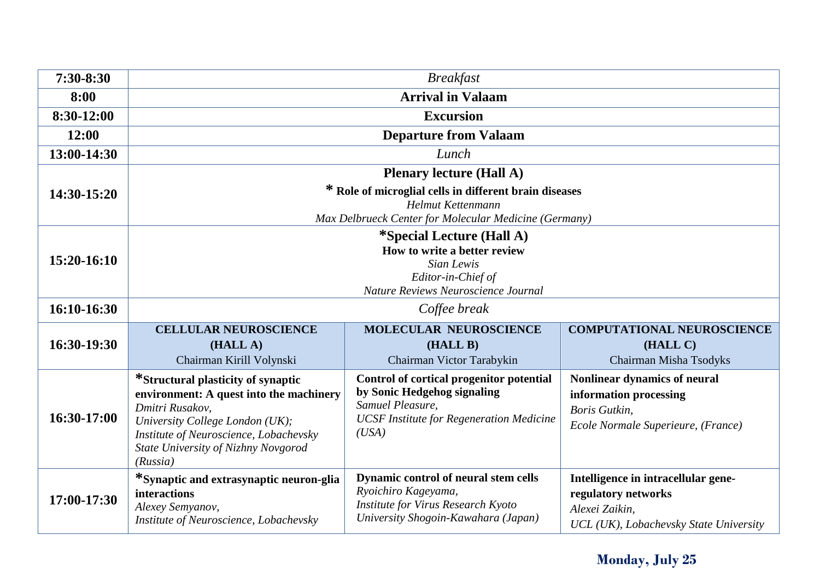| 7:30-8:30   | <b>Breakfast</b>                                                                                                                                                                                                                 |                                                                                                                                                         |                                                                                                                        |  |
|-------------|----------------------------------------------------------------------------------------------------------------------------------------------------------------------------------------------------------------------------------|---------------------------------------------------------------------------------------------------------------------------------------------------------|------------------------------------------------------------------------------------------------------------------------|--|
| 8:00        | <b>Arrival in Valaam</b>                                                                                                                                                                                                         |                                                                                                                                                         |                                                                                                                        |  |
| 8:30-12:00  |                                                                                                                                                                                                                                  | <b>Excursion</b>                                                                                                                                        |                                                                                                                        |  |
| 12:00       |                                                                                                                                                                                                                                  | <b>Departure from Valaam</b>                                                                                                                            |                                                                                                                        |  |
| 13:00-14:30 |                                                                                                                                                                                                                                  | Lunch                                                                                                                                                   |                                                                                                                        |  |
| 14:30-15:20 | <b>Plenary lecture (Hall A)</b><br>* Role of microglial cells in different brain diseases<br>Helmut Kettenmann<br>Max Delbrueck Center for Molecular Medicine (Germany)                                                          |                                                                                                                                                         |                                                                                                                        |  |
| 15:20-16:10 | <i>*Special Lecture (Hall A)</i><br>How to write a better review<br>Sian Lewis<br>Editor-in-Chief of<br>Nature Reviews Neuroscience Journal                                                                                      |                                                                                                                                                         |                                                                                                                        |  |
| 16:10-16:30 |                                                                                                                                                                                                                                  | Coffee break                                                                                                                                            |                                                                                                                        |  |
| 16:30-19:30 | <b>CELLULAR NEUROSCIENCE</b><br>(HALL A)<br>Chairman Kirill Volynski                                                                                                                                                             | <b>MOLECULAR NEUROSCIENCE</b><br>(HALL B)<br>Chairman Victor Tarabykin                                                                                  | <b>COMPUTATIONAL NEUROSCIENCE</b><br>(HALL C)<br>Chairman Misha Tsodyks                                                |  |
| 16:30-17:00 | *Structural plasticity of synaptic<br>environment: A quest into the machinery<br>Dmitri Rusakov,<br>University College London (UK);<br>Institute of Neuroscience, Lobachevsky<br>State University of Nizhny Novgorod<br>(Russia) | Control of cortical progenitor potential<br>by Sonic Hedgehog signaling<br>Samuel Pleasure,<br><b>UCSF</b> Institute for Regeneration Medicine<br>(USA) | Nonlinear dynamics of neural<br>information processing<br>Boris Gutkin,<br>Ecole Normale Superieure, (France)          |  |
| 17:00-17:30 | *Synaptic and extrasynaptic neuron-glia<br><b>interactions</b><br>Alexey Semyanov,<br>Institute of Neuroscience, Lobachevsky                                                                                                     | Dynamic control of neural stem cells<br>Ryoichiro Kageyama,<br>Institute for Virus Research Kyoto<br>University Shogoin-Kawahara (Japan)                | Intelligence in intracellular gene-<br>regulatory networks<br>Alexei Zaikin,<br>UCL (UK), Lobachevsky State University |  |

### **Monday, July 25**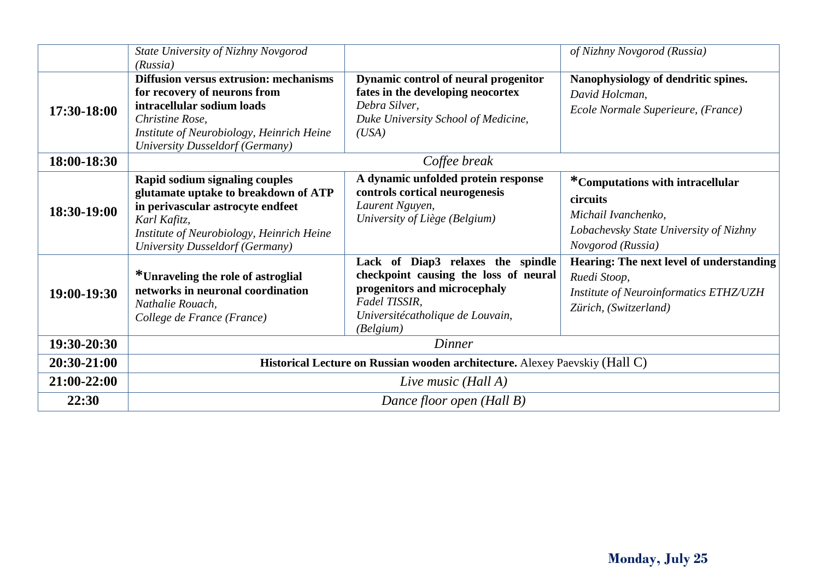|             | State University of Nizhny Novgorod                                                                                                                                                                            |                                                                                                                                                                              | of Nizhny Novgorod (Russia)                                                                                                        |
|-------------|----------------------------------------------------------------------------------------------------------------------------------------------------------------------------------------------------------------|------------------------------------------------------------------------------------------------------------------------------------------------------------------------------|------------------------------------------------------------------------------------------------------------------------------------|
|             | (Russia)                                                                                                                                                                                                       |                                                                                                                                                                              |                                                                                                                                    |
| 17:30-18:00 | <b>Diffusion versus extrusion: mechanisms</b><br>for recovery of neurons from<br>intracellular sodium loads<br>Christine Rose,<br>Institute of Neurobiology, Heinrich Heine<br>University Dusseldorf (Germany) | Dynamic control of neural progenitor<br>fates in the developing neocortex<br>Debra Silver,<br>Duke University School of Medicine,<br>(USA)                                   | Nanophysiology of dendritic spines.<br>David Holcman,<br>Ecole Normale Superieure, (France)                                        |
| 18:00-18:30 |                                                                                                                                                                                                                | Coffee break                                                                                                                                                                 |                                                                                                                                    |
| 18:30-19:00 | Rapid sodium signaling couples<br>glutamate uptake to breakdown of ATP<br>in perivascular astrocyte endfeet<br>Karl Kafitz,<br>Institute of Neurobiology, Heinrich Heine<br>University Dusseldorf (Germany)    | A dynamic unfolded protein response<br>controls cortical neurogenesis<br>Laurent Nguyen,<br>University of Liège (Belgium)                                                    | *Computations with intracellular<br>circuits<br>Michail Ivanchenko,<br>Lobachevsky State University of Nizhny<br>Novgorod (Russia) |
| 19:00-19:30 | *Unraveling the role of astroglial<br>networks in neuronal coordination<br>Nathalie Rouach,<br>College de France (France)                                                                                      | Lack of Diap3 relaxes the spindle<br>checkpoint causing the loss of neural<br>progenitors and microcephaly<br>Fadel TISSIR,<br>Universitécatholique de Louvain,<br>(Belgium) | Hearing: The next level of understanding<br>Ruedi Stoop,<br><b>Institute of Neuroinformatics ETHZ/UZH</b><br>Zürich, (Switzerland) |
| 19:30-20:30 | Dinner                                                                                                                                                                                                         |                                                                                                                                                                              |                                                                                                                                    |
| 20:30-21:00 | Historical Lecture on Russian wooden architecture. Alexey Paevskiy (Hall C)                                                                                                                                    |                                                                                                                                                                              |                                                                                                                                    |
| 21:00-22:00 | Live music (Hall A)                                                                                                                                                                                            |                                                                                                                                                                              |                                                                                                                                    |
| 22:30       | Dance floor open (Hall B)                                                                                                                                                                                      |                                                                                                                                                                              |                                                                                                                                    |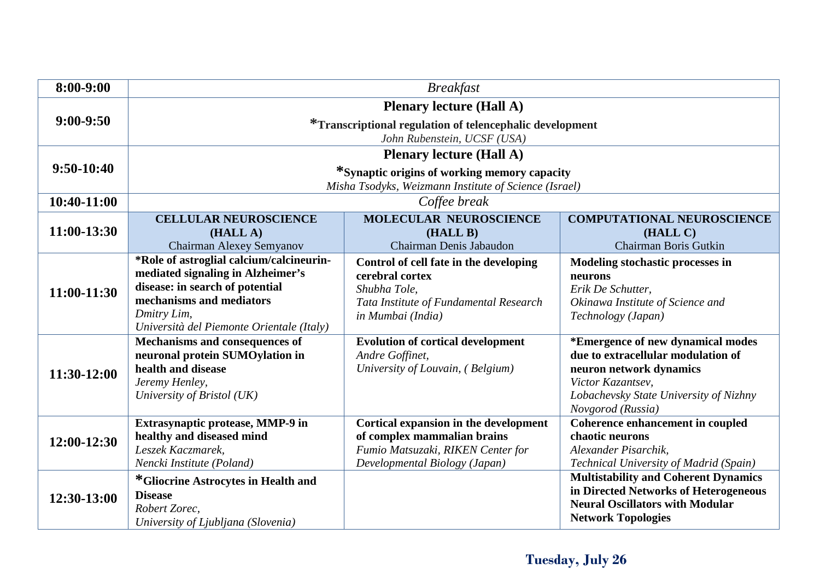| 8:00-9:00   | <b>Breakfast</b>                          |                                                          |                                                                                 |  |  |
|-------------|-------------------------------------------|----------------------------------------------------------|---------------------------------------------------------------------------------|--|--|
|             |                                           | <b>Plenary lecture (Hall A)</b>                          |                                                                                 |  |  |
| $9:00-9:50$ |                                           | *Transcriptional regulation of telencephalic development |                                                                                 |  |  |
|             | John Rubenstein, UCSF (USA)               |                                                          |                                                                                 |  |  |
|             |                                           | <b>Plenary lecture (Hall A)</b>                          |                                                                                 |  |  |
| 9:50-10:40  |                                           | *Synaptic origins of working memory capacity             |                                                                                 |  |  |
|             |                                           | Misha Tsodyks, Weizmann Institute of Science (Israel)    |                                                                                 |  |  |
| 10:40-11:00 |                                           | Coffee break                                             |                                                                                 |  |  |
|             | <b>CELLULAR NEUROSCIENCE</b>              | <b>MOLECULAR NEUROSCIENCE</b>                            | <b>COMPUTATIONAL NEUROSCIENCE</b>                                               |  |  |
| 11:00-13:30 | (HALL A)                                  | (HALL B)                                                 | (HALL C)                                                                        |  |  |
|             | Chairman Alexey Semyanov                  | Chairman Denis Jabaudon                                  | Chairman Boris Gutkin                                                           |  |  |
|             | *Role of astroglial calcium/calcineurin-  | Control of cell fate in the developing                   | Modeling stochastic processes in                                                |  |  |
|             | mediated signaling in Alzheimer's         | cerebral cortex                                          | neurons                                                                         |  |  |
| 11:00-11:30 | disease: in search of potential           | Shubha Tole,                                             | Erik De Schutter,                                                               |  |  |
|             | mechanisms and mediators                  | Tata Institute of Fundamental Research                   | Okinawa Institute of Science and                                                |  |  |
|             | Dmitry Lim,                               | in Mumbai (India)                                        | Technology (Japan)                                                              |  |  |
|             | Università del Piemonte Orientale (Italy) |                                                          |                                                                                 |  |  |
|             | Mechanisms and consequences of            | <b>Evolution of cortical development</b>                 | *Emergence of new dynamical modes                                               |  |  |
|             | neuronal protein SUMOylation in           | Andre Goffinet,                                          | due to extracellular modulation of                                              |  |  |
| 11:30-12:00 | health and disease                        | University of Louvain, (Belgium)                         | neuron network dynamics                                                         |  |  |
|             | Jeremy Henley,                            |                                                          | Victor Kazantsev,                                                               |  |  |
|             | University of Bristol (UK)                |                                                          | Lobachevsky State University of Nizhny                                          |  |  |
|             |                                           |                                                          | Novgorod (Russia)                                                               |  |  |
|             | Extrasynaptic protease, MMP-9 in          | Cortical expansion in the development                    | Coherence enhancement in coupled                                                |  |  |
| 12:00-12:30 | healthy and diseased mind                 | of complex mammalian brains                              | chaotic neurons                                                                 |  |  |
|             | Leszek Kaczmarek,                         | Fumio Matsuzaki, RIKEN Center for                        | Alexander Pisarchik,                                                            |  |  |
|             | Nencki Institute (Poland)                 | Developmental Biology (Japan)                            | Technical University of Madrid (Spain)                                          |  |  |
|             | *Gliocrine Astrocytes in Health and       |                                                          | <b>Multistability and Coherent Dynamics</b>                                     |  |  |
| 12:30-13:00 | <b>Disease</b>                            |                                                          | in Directed Networks of Heterogeneous<br><b>Neural Oscillators with Modular</b> |  |  |
|             | Robert Zorec,                             |                                                          |                                                                                 |  |  |
|             | University of Ljubljana (Slovenia)        |                                                          | <b>Network Topologies</b>                                                       |  |  |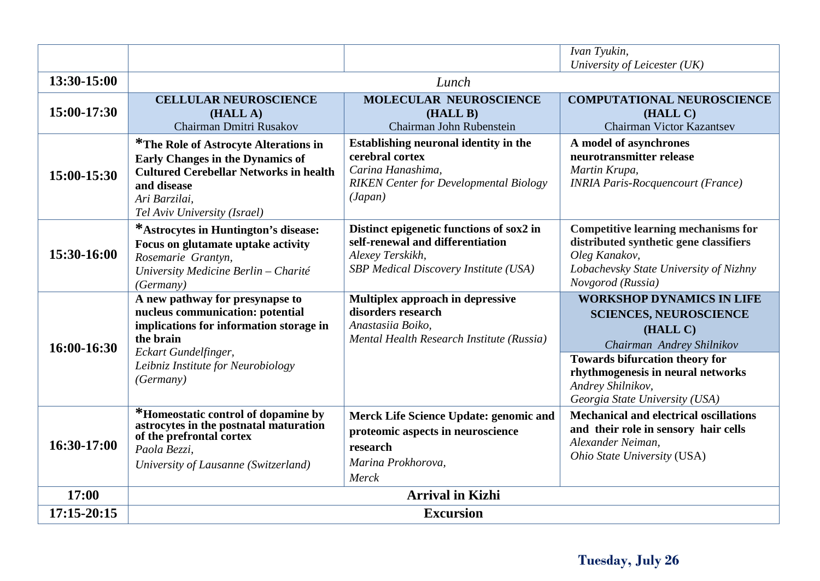|             |                                                                                                                                                                                                        |                                                                                                                                           | Ivan Tyukin,                                                                                                                                                                                                  |  |  |
|-------------|--------------------------------------------------------------------------------------------------------------------------------------------------------------------------------------------------------|-------------------------------------------------------------------------------------------------------------------------------------------|---------------------------------------------------------------------------------------------------------------------------------------------------------------------------------------------------------------|--|--|
| 13:30-15:00 | University of Leicester (UK)<br>Lunch                                                                                                                                                                  |                                                                                                                                           |                                                                                                                                                                                                               |  |  |
|             |                                                                                                                                                                                                        |                                                                                                                                           |                                                                                                                                                                                                               |  |  |
| 15:00-17:30 | <b>CELLULAR NEUROSCIENCE</b><br>(HALL A)<br>Chairman Dmitri Rusakov                                                                                                                                    | <b>MOLECULAR NEUROSCIENCE</b><br>(HALL B)<br>Chairman John Rubenstein                                                                     | <b>COMPUTATIONAL NEUROSCIENCE</b><br>(HALL C)<br><b>Chairman Victor Kazantsev</b>                                                                                                                             |  |  |
| 15:00-15:30 | *The Role of Astrocyte Alterations in<br><b>Early Changes in the Dynamics of</b><br><b>Cultured Cerebellar Networks in health</b><br>and disease<br>Ari Barzilai,<br>Tel Aviv University (Israel)      | Establishing neuronal identity in the<br>cerebral cortex<br>Carina Hanashima,<br><b>RIKEN Center for Developmental Biology</b><br>(Japan) | A model of asynchrones<br>neurotransmitter release<br>Martin Krupa,<br><b>INRIA Paris-Rocquencourt (France)</b>                                                                                               |  |  |
| 15:30-16:00 | *Astrocytes in Huntington's disease:<br>Focus on glutamate uptake activity<br>Rosemarie Grantyn,<br>University Medicine Berlin - Charité<br>(Germany)                                                  | Distinct epigenetic functions of sox2 in<br>self-renewal and differentiation<br>Alexey Terskikh,<br>SBP Medical Discovery Institute (USA) | <b>Competitive learning mechanisms for</b><br>distributed synthetic gene classifiers<br>Oleg Kanakov,<br>Lobachevsky State University of Nizhny<br>Novgorod (Russia)                                          |  |  |
| 16:00-16:30 | A new pathway for presynapse to<br>nucleus communication: potential<br>implications for information storage in<br>the brain<br>Eckart Gundelfinger,<br>Leibniz Institute for Neurobiology<br>(Germany) | Multiplex approach in depressive<br>disorders research<br>Anastasiia Boiko,<br>Mental Health Research Institute (Russia)                  | <b>WORKSHOP DYNAMICS IN LIFE</b><br><b>SCIENCES, NEUROSCIENCE</b><br>(HALL C)<br>Chairman Andrey Shilnikov<br><b>Towards bifurcation theory for</b><br>rhythmogenesis in neural networks<br>Andrey Shilnikov, |  |  |
|             |                                                                                                                                                                                                        |                                                                                                                                           | Georgia State University (USA)                                                                                                                                                                                |  |  |
| 16:30-17:00 | *Homeostatic control of dopamine by<br>astrocytes in the postnatal maturation<br>of the prefrontal cortex<br>Paola Bezzi,<br>University of Lausanne (Switzerland)                                      | Merck Life Science Update: genomic and<br>proteomic aspects in neuroscience<br>research<br>Marina Prokhorova,<br>Merck                    | <b>Mechanical and electrical oscillations</b><br>and their role in sensory hair cells<br>Alexander Neiman,<br>Ohio State University (USA)                                                                     |  |  |
| 17:00       | <b>Arrival in Kizhi</b>                                                                                                                                                                                |                                                                                                                                           |                                                                                                                                                                                                               |  |  |
| 17:15-20:15 | <b>Excursion</b>                                                                                                                                                                                       |                                                                                                                                           |                                                                                                                                                                                                               |  |  |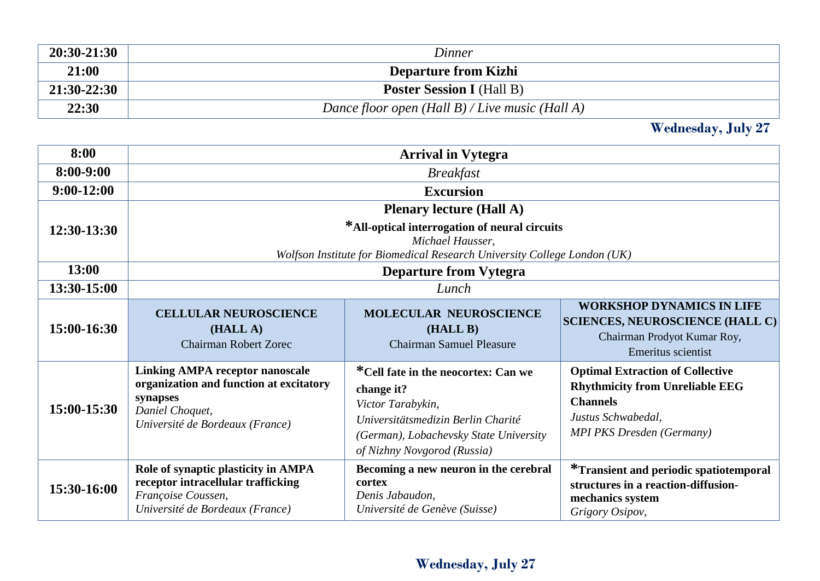| 20:30-21:30 | Dinner                                            |
|-------------|---------------------------------------------------|
| 21:00       | <b>Departure from Kizhi</b>                       |
| 21:30-22:30 | <b>Poster Session I</b> (Hall B)                  |
| 22:30       | Dance floor open $(Hall B) / Live music (Hall A)$ |

**Wednesday, July 27**

| 8:00          | <b>Arrival in Vytegra</b>                                                                                                                                                        |                                                                                                                                                                                       |                                                                                                                                                                |  |
|---------------|----------------------------------------------------------------------------------------------------------------------------------------------------------------------------------|---------------------------------------------------------------------------------------------------------------------------------------------------------------------------------------|----------------------------------------------------------------------------------------------------------------------------------------------------------------|--|
| $8:00 - 9:00$ | <b>Breakfast</b>                                                                                                                                                                 |                                                                                                                                                                                       |                                                                                                                                                                |  |
| $9:00-12:00$  |                                                                                                                                                                                  | <b>Excursion</b>                                                                                                                                                                      |                                                                                                                                                                |  |
| 12:30-13:30   | <b>Plenary lecture (Hall A)</b><br>*All-optical interrogation of neural circuits<br>Michael Hausser,<br>Wolfson Institute for Biomedical Research University College London (UK) |                                                                                                                                                                                       |                                                                                                                                                                |  |
| 13:00         |                                                                                                                                                                                  | <b>Departure from Vytegra</b>                                                                                                                                                         |                                                                                                                                                                |  |
| 13:30-15:00   |                                                                                                                                                                                  | Lunch                                                                                                                                                                                 |                                                                                                                                                                |  |
| 15:00-16:30   | <b>CELLULAR NEUROSCIENCE</b><br>(HALL A)<br><b>Chairman Robert Zorec</b>                                                                                                         | <b>MOLECULAR NEUROSCIENCE</b><br>(HALL B)<br><b>Chairman Samuel Pleasure</b>                                                                                                          | <b>WORKSHOP DYNAMICS IN LIFE</b><br><b>SCIENCES, NEUROSCIENCE (HALL C)</b><br>Chairman Prodyot Kumar Roy,<br>Emeritus scientist                                |  |
| 15:00-15:30   | <b>Linking AMPA receptor nanoscale</b><br>organization and function at excitatory<br>synapses<br>Daniel Choquet,<br>Université de Bordeaux (France)                              | *Cell fate in the neocortex: Can we<br>change it?<br>Victor Tarabykin,<br>Universitätsmedizin Berlin Charité<br>(German), Lobachevsky State University<br>of Nizhny Novgorod (Russia) | <b>Optimal Extraction of Collective</b><br><b>Rhythmicity from Unreliable EEG</b><br><b>Channels</b><br>Justus Schwabedal,<br><b>MPI PKS Dresden (Germany)</b> |  |
| 15:30-16:00   | Role of synaptic plasticity in AMPA<br>receptor intracellular trafficking<br>Françoise Coussen,<br>Université de Bordeaux (France)                                               | Becoming a new neuron in the cerebral<br>cortex<br>Denis Jabaudon,<br>Université de Genève (Suisse)                                                                                   | <i>*</i> Transient and periodic spatiotemporal<br>structures in a reaction-diffusion-<br>mechanics system<br>Grigory Osipov,                                   |  |

### **Wednesday, July 27**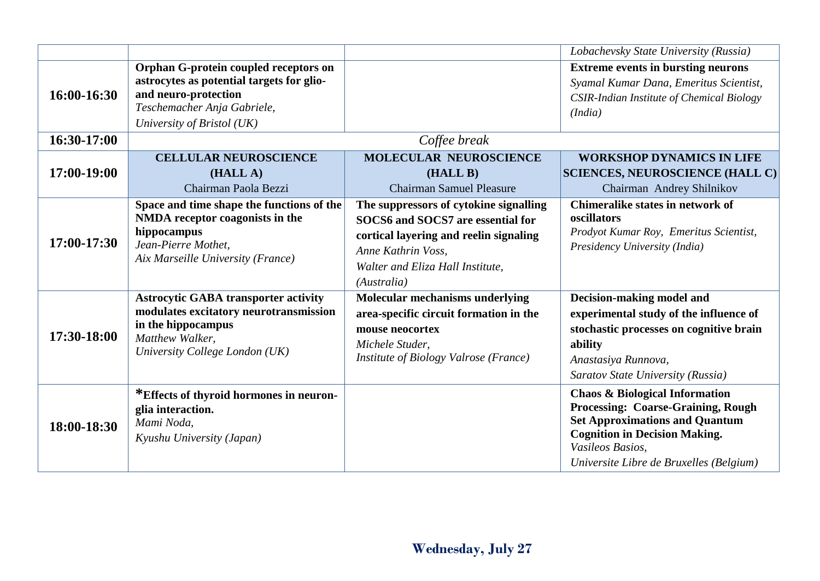|             |                                                                                                                                                                  |                                                                                                                                                                                                | Lobachevsky State University (Russia)                                                                                                                                                                                           |
|-------------|------------------------------------------------------------------------------------------------------------------------------------------------------------------|------------------------------------------------------------------------------------------------------------------------------------------------------------------------------------------------|---------------------------------------------------------------------------------------------------------------------------------------------------------------------------------------------------------------------------------|
|             | Orphan G-protein coupled receptors on<br>astrocytes as potential targets for glio-                                                                               |                                                                                                                                                                                                | <b>Extreme events in bursting neurons</b><br>Syamal Kumar Dana, Emeritus Scientist,                                                                                                                                             |
| 16:00-16:30 | and neuro-protection<br>Teschemacher Anja Gabriele,<br>University of Bristol (UK)                                                                                |                                                                                                                                                                                                | CSIR-Indian Institute of Chemical Biology<br>(India)                                                                                                                                                                            |
| 16:30-17:00 |                                                                                                                                                                  | Coffee break                                                                                                                                                                                   |                                                                                                                                                                                                                                 |
|             | <b>CELLULAR NEUROSCIENCE</b>                                                                                                                                     | <b>MOLECULAR NEUROSCIENCE</b>                                                                                                                                                                  | <b>WORKSHOP DYNAMICS IN LIFE</b>                                                                                                                                                                                                |
| 17:00-19:00 | (HALL A)                                                                                                                                                         | (HALL B)                                                                                                                                                                                       | <b>SCIENCES, NEUROSCIENCE (HALL C)</b>                                                                                                                                                                                          |
|             | Chairman Paola Bezzi                                                                                                                                             | <b>Chairman Samuel Pleasure</b>                                                                                                                                                                | Chairman Andrey Shilnikov                                                                                                                                                                                                       |
| 17:00-17:30 | Space and time shape the functions of the<br>NMDA receptor coagonists in the<br>hippocampus<br>Jean-Pierre Mothet,<br>Aix Marseille University (France)          | The suppressors of cytokine signalling<br>SOCS6 and SOCS7 are essential for<br>cortical layering and reelin signaling<br>Anne Kathrin Voss,<br>Walter and Eliza Hall Institute,<br>(Australia) | Chimeralike states in network of<br>oscillators<br>Prodyot Kumar Roy, Emeritus Scientist,<br>Presidency University (India)                                                                                                      |
| 17:30-18:00 | <b>Astrocytic GABA transporter activity</b><br>modulates excitatory neurotransmission<br>in the hippocampus<br>Matthew Walker,<br>University College London (UK) | Molecular mechanisms underlying<br>area-specific circuit formation in the<br>mouse neocortex<br>Michele Studer,<br>Institute of Biology Valrose (France)                                       | Decision-making model and<br>experimental study of the influence of<br>stochastic processes on cognitive brain<br>ability<br>Anastasiya Runnova,<br>Saratov State University (Russia)                                           |
| 18:00-18:30 | *Effects of thyroid hormones in neuron-<br>glia interaction.<br>Mami Noda,<br>Kyushu University (Japan)                                                          |                                                                                                                                                                                                | <b>Chaos &amp; Biological Information</b><br>Processing: Coarse-Graining, Rough<br><b>Set Approximations and Quantum</b><br><b>Cognition in Decision Making.</b><br>Vasileos Basios,<br>Universite Libre de Bruxelles (Belgium) |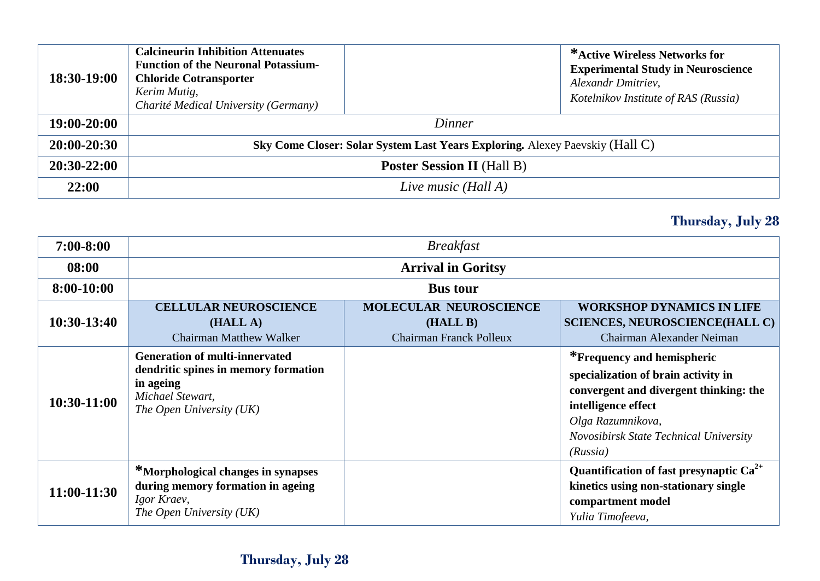| 18:30-19:00     | <b>Calcineurin Inhibition Attenuates</b><br><b>Function of the Neuronal Potassium-</b><br><b>Chloride Cotransporter</b><br>Kerim Mutig,<br>Charité Medical University (Germany) |  | *Active Wireless Networks for<br><b>Experimental Study in Neuroscience</b><br>Alexandr Dmitriev,<br>Kotelnikov Institute of RAS (Russia) |
|-----------------|---------------------------------------------------------------------------------------------------------------------------------------------------------------------------------|--|------------------------------------------------------------------------------------------------------------------------------------------|
| 19:00-20:00     | Dinner                                                                                                                                                                          |  |                                                                                                                                          |
| $20:00 - 20:30$ | Sky Come Closer: Solar System Last Years Exploring. Alexey Paevskiy (Hall C)                                                                                                    |  |                                                                                                                                          |
| $20:30-22:00$   | <b>Poster Session II</b> (Hall B)                                                                                                                                               |  |                                                                                                                                          |
| 22:00           | Live music (Hall A)                                                                                                                                                             |  |                                                                                                                                          |

### **Thursday, July 28**

| $7:00 - 8:00$ | <b>Breakfast</b>                                                                                                                           |                                                                             |                                                                                                                                                                                                               |  |
|---------------|--------------------------------------------------------------------------------------------------------------------------------------------|-----------------------------------------------------------------------------|---------------------------------------------------------------------------------------------------------------------------------------------------------------------------------------------------------------|--|
| 08:00         | <b>Arrival in Goritsy</b>                                                                                                                  |                                                                             |                                                                                                                                                                                                               |  |
| 8:00-10:00    | <b>Bus tour</b>                                                                                                                            |                                                                             |                                                                                                                                                                                                               |  |
| $10:30-13:40$ | <b>CELLULAR NEUROSCIENCE</b><br>(HALL A)<br><b>Chairman Matthew Walker</b>                                                                 | <b>MOLECULAR NEUROSCIENCE</b><br>(HALL B)<br><b>Chairman Franck Polleux</b> | <b>WORKSHOP DYNAMICS IN LIFE</b><br><b>SCIENCES, NEUROSCIENCE(HALL C)</b><br>Chairman Alexander Neiman                                                                                                        |  |
| 10:30-11:00   | <b>Generation of multi-innervated</b><br>dendritic spines in memory formation<br>in ageing<br>Michael Stewart,<br>The Open University (UK) |                                                                             | *Frequency and hemispheric<br>specialization of brain activity in<br>convergent and divergent thinking: the<br>intelligence effect<br>Olga Razumnikova,<br>Novosibirsk State Technical University<br>(Russia) |  |
| 11:00-11:30   | <sup>*</sup> Morphological changes in synapses<br>during memory formation in ageing<br>Igor Kraev,<br>The Open University (UK)             |                                                                             | Quantification of fast presynaptic $Ca^{2+}$<br>kinetics using non-stationary single<br>compartment model<br>Yulia Timofeeva,                                                                                 |  |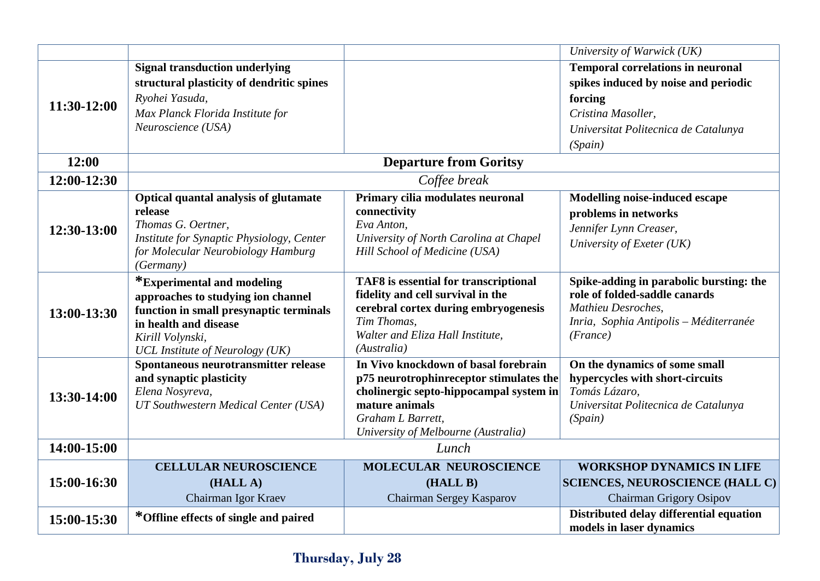|             |                                                 |                                         | University of Warwick (UK)                                                 |
|-------------|-------------------------------------------------|-----------------------------------------|----------------------------------------------------------------------------|
|             | <b>Signal transduction underlying</b>           |                                         | <b>Temporal correlations in neuronal</b>                                   |
|             | structural plasticity of dendritic spines       |                                         | spikes induced by noise and periodic                                       |
| 11:30-12:00 | Ryohei Yasuda,                                  |                                         | forcing                                                                    |
|             | Max Planck Florida Institute for                |                                         | Cristina Masoller,                                                         |
|             | Neuroscience (USA)                              |                                         | Universitat Politecnica de Catalunya                                       |
|             |                                                 |                                         | (Spain)                                                                    |
| 12:00       |                                                 | <b>Departure from Goritsy</b>           |                                                                            |
| 12:00-12:30 |                                                 | Coffee break                            |                                                                            |
|             | Optical quantal analysis of glutamate           | Primary cilia modulates neuronal        | <b>Modelling noise-induced escape</b>                                      |
|             | release                                         | connectivity                            | problems in networks                                                       |
| 12:30-13:00 | Thomas G. Oertner,                              | Eva Anton,                              | Jennifer Lynn Creaser,                                                     |
|             | Institute for Synaptic Physiology, Center       | University of North Carolina at Chapel  | University of Exeter (UK)                                                  |
|             | for Molecular Neurobiology Hamburg<br>(Germany) | Hill School of Medicine (USA)           |                                                                            |
|             | *Experimental and modeling                      | TAF8 is essential for transcriptional   | Spike-adding in parabolic bursting: the                                    |
|             | approaches to studying ion channel              | fidelity and cell survival in the       | role of folded-saddle canards                                              |
|             | function in small presynaptic terminals         | cerebral cortex during embryogenesis    | Mathieu Desroches,                                                         |
| 13:00-13:30 | in health and disease                           | Tim Thomas,                             | Inria, Sophia Antipolis - Méditerranée                                     |
|             | Kirill Volynski,                                | Walter and Eliza Hall Institute,        | (France)                                                                   |
|             | UCL Institute of Neurology (UK)                 | (Australia)                             |                                                                            |
|             | Spontaneous neurotransmitter release            | In Vivo knockdown of basal forebrain    | On the dynamics of some small                                              |
|             | and synaptic plasticity                         | p75 neurotrophinreceptor stimulates the | hypercycles with short-circuits                                            |
| 13:30-14:00 | Elena Nosyreva,                                 | cholinergic septo-hippocampal system in | Tomás Lázaro,                                                              |
|             | UT Southwestern Medical Center (USA)            | mature animals<br>Graham L Barrett,     | Universitat Politecnica de Catalunya                                       |
|             |                                                 | University of Melbourne (Australia)     | (Spain)                                                                    |
| 14:00-15:00 |                                                 | Lunch                                   |                                                                            |
|             |                                                 | <b>MOLECULAR NEUROSCIENCE</b>           |                                                                            |
| 15:00-16:30 | <b>CELLULAR NEUROSCIENCE</b><br>(HALL A)        |                                         | <b>WORKSHOP DYNAMICS IN LIFE</b><br><b>SCIENCES, NEUROSCIENCE (HALL C)</b> |
|             | Chairman Igor Kraev                             | (HALL B)                                | <b>Chairman Grigory Osipov</b>                                             |
|             |                                                 | Chairman Sergey Kasparov                |                                                                            |
| 15:00-15:30 | *Offline effects of single and paired           |                                         | Distributed delay differential equation<br>models in laser dynamics        |
|             |                                                 |                                         |                                                                            |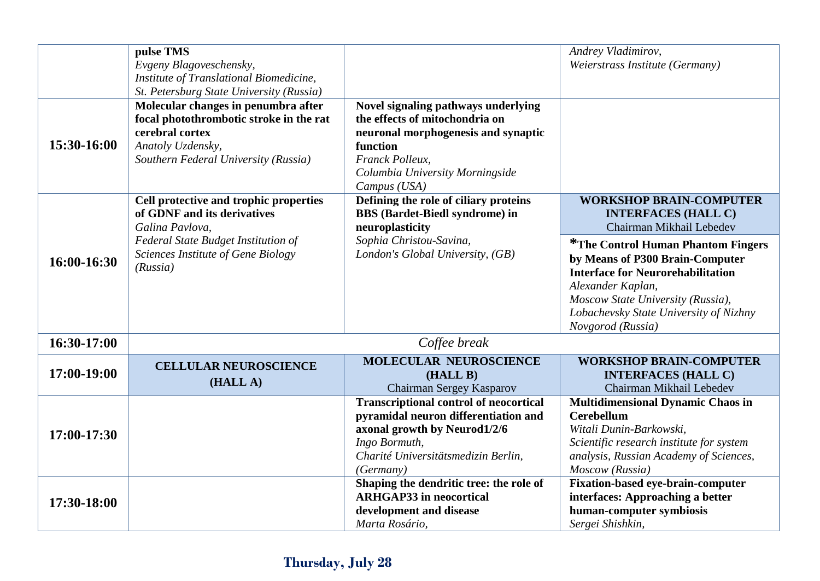|             | pulse TMS<br>Evgeny Blagoveschensky,<br>Institute of Translational Biomedicine,                                                                                                                            |                                                                                                                                                                                                | Andrey Vladimirov,<br>Weierstrass Institute (Germany)                                                                                                                                                                                                  |
|-------------|------------------------------------------------------------------------------------------------------------------------------------------------------------------------------------------------------------|------------------------------------------------------------------------------------------------------------------------------------------------------------------------------------------------|--------------------------------------------------------------------------------------------------------------------------------------------------------------------------------------------------------------------------------------------------------|
| 15:30-16:00 | St. Petersburg State University (Russia)<br>Molecular changes in penumbra after<br>focal photothrombotic stroke in the rat<br>cerebral cortex<br>Anatoly Uzdensky,<br>Southern Federal University (Russia) | Novel signaling pathways underlying<br>the effects of mitochondria on<br>neuronal morphogenesis and synaptic<br>function<br>Franck Polleux,<br>Columbia University Morningside<br>Campus (USA) |                                                                                                                                                                                                                                                        |
|             | Cell protective and trophic properties<br>of GDNF and its derivatives<br>Galina Pavlova,                                                                                                                   | Defining the role of ciliary proteins<br><b>BBS</b> (Bardet-Biedl syndrome) in<br>neuroplasticity                                                                                              | <b>WORKSHOP BRAIN-COMPUTER</b><br><b>INTERFACES (HALL C)</b><br>Chairman Mikhail Lebedev                                                                                                                                                               |
| 16:00-16:30 | Federal State Budget Institution of<br>Sciences Institute of Gene Biology<br>(Russia)                                                                                                                      | Sophia Christou-Savina,<br>London's Global University, (GB)                                                                                                                                    | <sup>*</sup> The Control Human Phantom Fingers<br>by Means of P300 Brain-Computer<br><b>Interface for Neurorehabilitation</b><br>Alexander Kaplan,<br>Moscow State University (Russia),<br>Lobachevsky State University of Nizhny<br>Novgorod (Russia) |
| 16:30-17:00 |                                                                                                                                                                                                            | Coffee break                                                                                                                                                                                   |                                                                                                                                                                                                                                                        |
| 17:00-19:00 | <b>CELLULAR NEUROSCIENCE</b><br>(HALL A)                                                                                                                                                                   | <b>MOLECULAR NEUROSCIENCE</b><br>(HALL B)<br>Chairman Sergey Kasparov                                                                                                                          | <b>WORKSHOP BRAIN-COMPUTER</b><br><b>INTERFACES (HALL C)</b><br>Chairman Mikhail Lebedev                                                                                                                                                               |
| 17:00-17:30 |                                                                                                                                                                                                            | <b>Transcriptional control of neocortical</b><br>pyramidal neuron differentiation and<br>axonal growth by Neurod1/2/6<br>Ingo Bormuth,<br>Charité Universitätsmedizin Berlin,<br>(Germany)     | <b>Multidimensional Dynamic Chaos in</b><br><b>Cerebellum</b><br>Witali Dunin-Barkowski,<br>Scientific research institute for system<br>analysis, Russian Academy of Sciences,<br>Moscow (Russia)                                                      |
| 17:30-18:00 |                                                                                                                                                                                                            | Shaping the dendritic tree: the role of<br><b>ARHGAP33</b> in neocortical<br>development and disease<br>Marta Rosário,                                                                         | <b>Fixation-based eye-brain-computer</b><br>interfaces: Approaching a better<br>human-computer symbiosis<br>Sergei Shishkin,                                                                                                                           |

### **Thursday, July 28**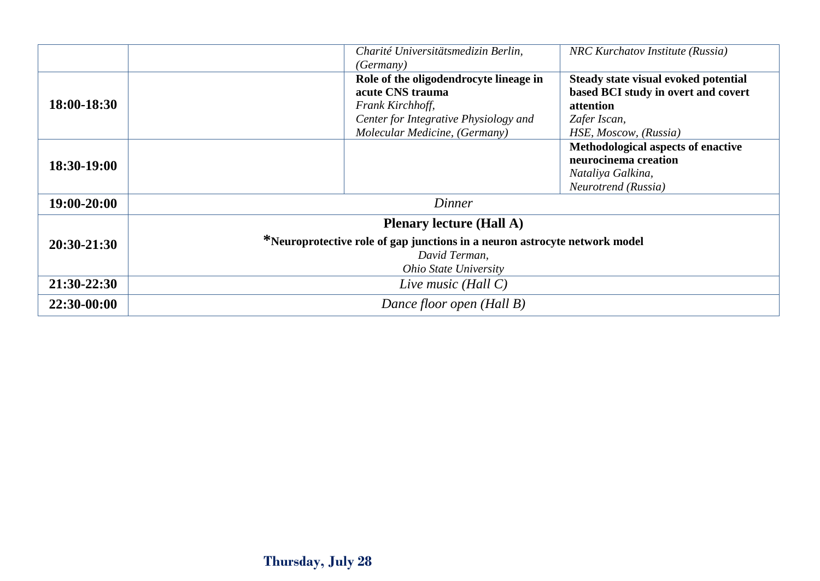|               | Charité Universitätsmedizin Berlin,<br><i>(Germany)</i>                                                                                                        | NRC Kurchatov Institute (Russia)                                                                                                  |  |  |
|---------------|----------------------------------------------------------------------------------------------------------------------------------------------------------------|-----------------------------------------------------------------------------------------------------------------------------------|--|--|
| 18:00-18:30   | Role of the oligodendrocyte lineage in<br>acute CNS trauma<br>Frank Kirchhoff,<br>Center for Integrative Physiology and<br>Molecular Medicine, (Germany)       | Steady state visual evoked potential<br>based BCI study in overt and covert<br>attention<br>Zafer Iscan,<br>HSE, Moscow, (Russia) |  |  |
| 18:30-19:00   |                                                                                                                                                                | Methodological aspects of enactive<br>neurocinema creation<br>Nataliya Galkina,<br>Neurotrend (Russia)                            |  |  |
| 19:00-20:00   | Dinner                                                                                                                                                         |                                                                                                                                   |  |  |
| $20:30-21:30$ | <b>Plenary lecture (Hall A)</b><br>*Neuroprotective role of gap junctions in a neuron astrocyte network model<br>David Terman,<br><b>Ohio State University</b> |                                                                                                                                   |  |  |
| 21:30-22:30   | Live music (Hall $C$ )                                                                                                                                         |                                                                                                                                   |  |  |
| 22:30-00:00   | Dance floor open (Hall B)                                                                                                                                      |                                                                                                                                   |  |  |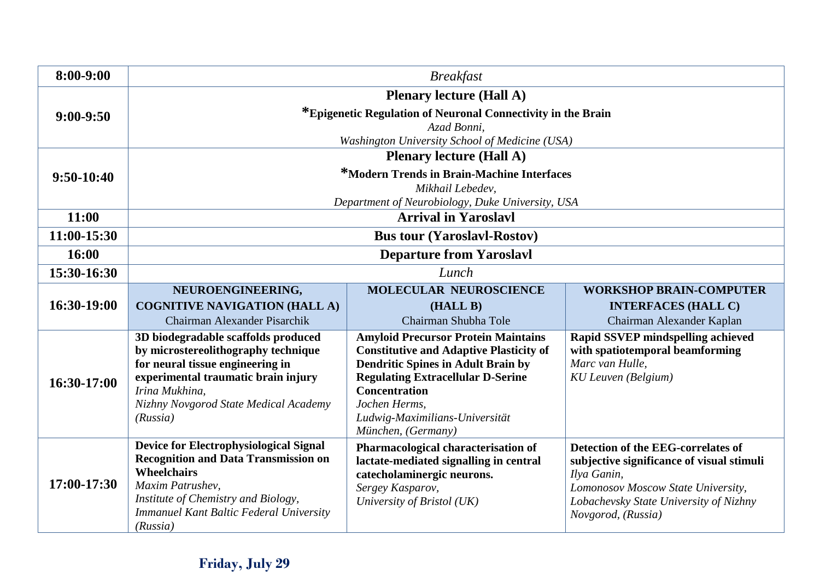| 8:00-9:00    | <b>Breakfast</b>                                              |                                                                  |                                           |
|--------------|---------------------------------------------------------------|------------------------------------------------------------------|-------------------------------------------|
|              | <b>Plenary lecture (Hall A)</b>                               |                                                                  |                                           |
| $9:00-9:50$  | *Epigenetic Regulation of Neuronal Connectivity in the Brain  |                                                                  |                                           |
|              | Azad Bonni,<br>Washington University School of Medicine (USA) |                                                                  |                                           |
|              | <b>Plenary lecture (Hall A)</b>                               |                                                                  |                                           |
| $9:50-10:40$ | *Modern Trends in Brain-Machine Interfaces                    |                                                                  |                                           |
|              | Mikhail Lebedev,                                              |                                                                  |                                           |
|              | Department of Neurobiology, Duke University, USA              |                                                                  |                                           |
| 11:00        | <b>Arrival in Yaroslavl</b>                                   |                                                                  |                                           |
| 11:00-15:30  | <b>Bus tour (Yaroslavl-Rostov)</b>                            |                                                                  |                                           |
| 16:00        | <b>Departure from Yaroslavl</b>                               |                                                                  |                                           |
| 15:30-16:30  | Lunch                                                         |                                                                  |                                           |
| 16:30-19:00  | NEUROENGINEERING,                                             | <b>MOLECULAR NEUROSCIENCE</b>                                    | <b>WORKSHOP BRAIN-COMPUTER</b>            |
|              | <b>COGNITIVE NAVIGATION (HALL A)</b>                          | (HALL B)                                                         | <b>INTERFACES (HALL C)</b>                |
|              | Chairman Alexander Pisarchik                                  | Chairman Shubha Tole                                             | Chairman Alexander Kaplan                 |
|              | 3D biodegradable scaffolds produced                           | <b>Amyloid Precursor Protein Maintains</b>                       | Rapid SSVEP mindspelling achieved         |
|              | by microstereolithography technique                           | <b>Constitutive and Adaptive Plasticity of</b>                   | with spatiotemporal beamforming           |
|              | for neural tissue engineering in                              | <b>Dendritic Spines in Adult Brain by</b>                        | Marc van Hulle.                           |
| 16:30-17:00  | experimental traumatic brain injury<br>Irina Mukhina,         | <b>Regulating Extracellular D-Serine</b><br><b>Concentration</b> | <b>KU Leuven</b> (Belgium)                |
|              | Nizhny Novgorod State Medical Academy                         | Jochen Herms,                                                    |                                           |
|              | (Russia)                                                      | Ludwig-Maximilians-Universität                                   |                                           |
|              |                                                               | München, (Germany)                                               |                                           |
|              | <b>Device for Electrophysiological Signal</b>                 | Pharmacological characterisation of                              | Detection of the EEG-correlates of        |
|              | <b>Recognition and Data Transmission on</b>                   | lactate-mediated signalling in central                           | subjective significance of visual stimuli |
| 17:00-17:30  | Wheelchairs                                                   | catecholaminergic neurons.                                       | Ilya Ganin,                               |
|              | Maxim Patrushev.                                              | Sergey Kasparov,                                                 | Lomonosov Moscow State University,        |
|              | Institute of Chemistry and Biology,                           | University of Bristol (UK)                                       | Lobachevsky State University of Nizhny    |
|              | <b>Immanuel Kant Baltic Federal University</b><br>(Russia)    |                                                                  | Novgorod, (Russia)                        |

## **Friday, July 29**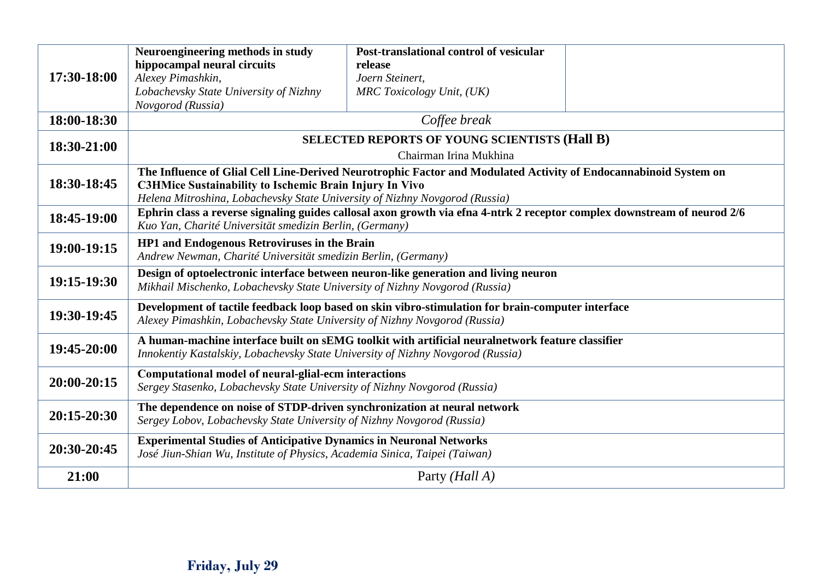| 17:30-18:00 | Neuroengineering methods in study<br>hippocampal neural circuits<br>Alexey Pimashkin,                                                                                                                   | Post-translational control of vesicular<br>release<br>Joern Steinert, |  |
|-------------|---------------------------------------------------------------------------------------------------------------------------------------------------------------------------------------------------------|-----------------------------------------------------------------------|--|
|             | Lobachevsky State University of Nizhny<br>Novgorod (Russia)                                                                                                                                             | MRC Toxicology Unit, (UK)                                             |  |
| 18:00-18:30 | Coffee break                                                                                                                                                                                            |                                                                       |  |
| 18:30-21:00 | <b>SELECTED REPORTS OF YOUNG SCIENTISTS (Hall B)</b>                                                                                                                                                    |                                                                       |  |
|             | Chairman Irina Mukhina                                                                                                                                                                                  |                                                                       |  |
| 18:30-18:45 | The Influence of Glial Cell Line-Derived Neurotrophic Factor and Modulated Activity of Endocannabinoid System on                                                                                        |                                                                       |  |
|             | <b>C3HMice Sustainability to Ischemic Brain Injury In Vivo</b>                                                                                                                                          |                                                                       |  |
|             | Helena Mitroshina, Lobachevsky State University of Nizhny Novgorod (Russia)<br>Ephrin class a reverse signaling guides callosal axon growth via efna 4-ntrk 2 receptor complex downstream of neurod 2/6 |                                                                       |  |
| 18:45-19:00 | Kuo Yan, Charité Universität smedizin Berlin, (Germany)                                                                                                                                                 |                                                                       |  |
|             | HP1 and Endogenous Retroviruses in the Brain                                                                                                                                                            |                                                                       |  |
| 19:00-19:15 | Andrew Newman, Charité Universität smedizin Berlin, (Germany)                                                                                                                                           |                                                                       |  |
| 19:15-19:30 | Design of optoelectronic interface between neuron-like generation and living neuron<br>Mikhail Mischenko, Lobachevsky State University of Nizhny Novgorod (Russia)                                      |                                                                       |  |
| 19:30-19:45 | Development of tactile feedback loop based on skin vibro-stimulation for brain-computer interface<br>Alexey Pimashkin, Lobachevsky State University of Nizhny Novgorod (Russia)                         |                                                                       |  |
| 19:45-20:00 | A human-machine interface built on sEMG toolkit with artificial neuralnetwork feature classifier<br>Innokentiy Kastalskiy, Lobachevsky State University of Nizhny Novgorod (Russia)                     |                                                                       |  |
| 20:00-20:15 | Computational model of neural-glial-ecm interactions<br>Sergey Stasenko, Lobachevsky State University of Nizhny Novgorod (Russia)                                                                       |                                                                       |  |
| 20:15-20:30 | The dependence on noise of STDP-driven synchronization at neural network<br>Sergey Lobov, Lobachevsky State University of Nizhny Novgorod (Russia)                                                      |                                                                       |  |
| 20:30-20:45 | <b>Experimental Studies of Anticipative Dynamics in Neuronal Networks</b><br>José Jiun-Shian Wu, Institute of Physics, Academia Sinica, Taipei (Taiwan)                                                 |                                                                       |  |
| 21:00       |                                                                                                                                                                                                         | Party ( <i>Hall A</i> )                                               |  |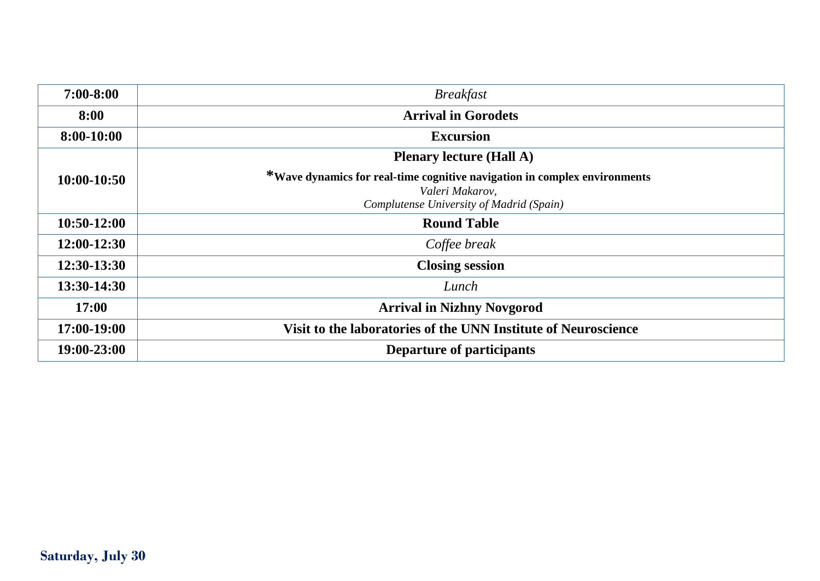| $7:00 - 8:00$ | <b>Breakfast</b>                                                                                                                         |  |  |
|---------------|------------------------------------------------------------------------------------------------------------------------------------------|--|--|
| 8:00          | <b>Arrival in Gorodets</b>                                                                                                               |  |  |
| 8:00-10:00    | <b>Excursion</b>                                                                                                                         |  |  |
|               | <b>Plenary lecture (Hall A)</b>                                                                                                          |  |  |
| $10:00-10:50$ | *Wave dynamics for real-time cognitive navigation in complex environments<br>Valeri Makarov,<br>Complutense University of Madrid (Spain) |  |  |
| $10:50-12:00$ | <b>Round Table</b>                                                                                                                       |  |  |
| 12:00-12:30   | Coffee break                                                                                                                             |  |  |
| 12:30-13:30   | <b>Closing session</b>                                                                                                                   |  |  |
| 13:30-14:30   | Lunch                                                                                                                                    |  |  |
| 17:00         | <b>Arrival in Nizhny Novgorod</b>                                                                                                        |  |  |
| 17:00-19:00   | Visit to the laboratories of the UNN Institute of Neuroscience                                                                           |  |  |
| 19:00-23:00   | Departure of participants                                                                                                                |  |  |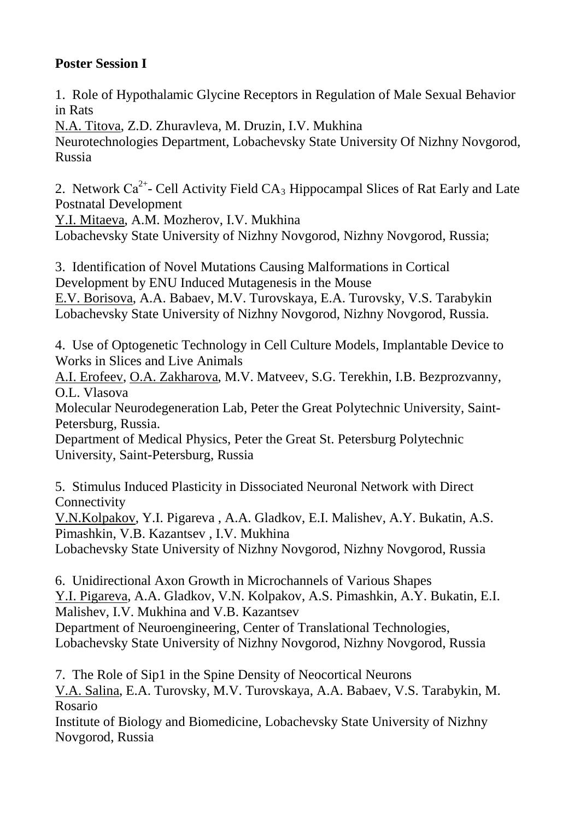#### **Poster Session I**

1. Role of Hypothalamic Glycine Receptors in Regulation of Male Sexual Behavior in Rats

N.A. Titova, Z.D. Zhuravleva, M. Druzin, I.V. Mukhina Neurotechnologies Department, Lobachevsky State University Of Nizhny Novgorod, Russia

2. Network  $Ca^{2+}$ - Cell Activity Field  $CA_3$  Hippocampal Slices of Rat Early and Late Postnatal Development

Y.I. Mitaeva, A.M. Mozherov, I.V. Mukhina

Lobachevsky State University of Nizhny Novgorod, Nizhny Novgorod, Russia;

3. Identification of Novel Mutations Causing Malformations in Cortical Development by ENU Induced Mutagenesis in the Mouse E.V. Borisova, A.A. Babaev, M.V. Turovskaya, E.A. Turovsky, V.S. Tarabykin Lobachevsky State University of Nizhny Novgorod, Nizhny Novgorod, Russia.

4. Use of Optogenetic Technology in Cell Culture Models, Implantable Device to Works in Slices and Live Animals

A.I. Erofeev, O.A. Zakharova, M.V. Matveev, S.G. Terekhin, I.B. Bezprozvanny, O.L. Vlasova

Molecular Neurodegeneration Lab, Peter the Great Polytechnic University, Saint-Petersburg, Russia.

Department of Medical Physics, Peter the Great St. Petersburg Polytechnic University, Saint-Petersburg, Russia

5. Stimulus Induced Plasticity in Dissociated Neuronal Network with Direct **Connectivity** 

V.N.Kolpakov, Y.I. Pigareva , A.A. Gladkov, E.I. Malishev, A.Y. Bukatin, A.S. Pimashkin, V.B. Kazantsev , I.V. Mukhina

Lobachevsky State University of Nizhny Novgorod, Nizhny Novgorod, Russia

6. Unidirectional Axon Growth in Microchannels of Various Shapes Y.I. Pigareva, A.A. Gladkov, V.N. Kolpakov, A.S. Pimashkin, A.Y. Bukatin, E.I. Malishev, I.V. Mukhina and V.B. Kazantsev

Department of Neuroengineering, Center of Translational Technologies, Lobachevsky State University of Nizhny Novgorod, Nizhny Novgorod, Russia

7. The Role of Sip1 in the Spine Density of Neocortical Neurons V.A. Salina, E.A. Turovsky, M.V. Turovskaya, A.A. Babaev, V.S. Tarabykin, M. Rosario

Institute of Biology and Biomedicine, Lobachevsky State University of Nizhny Novgorod, Russia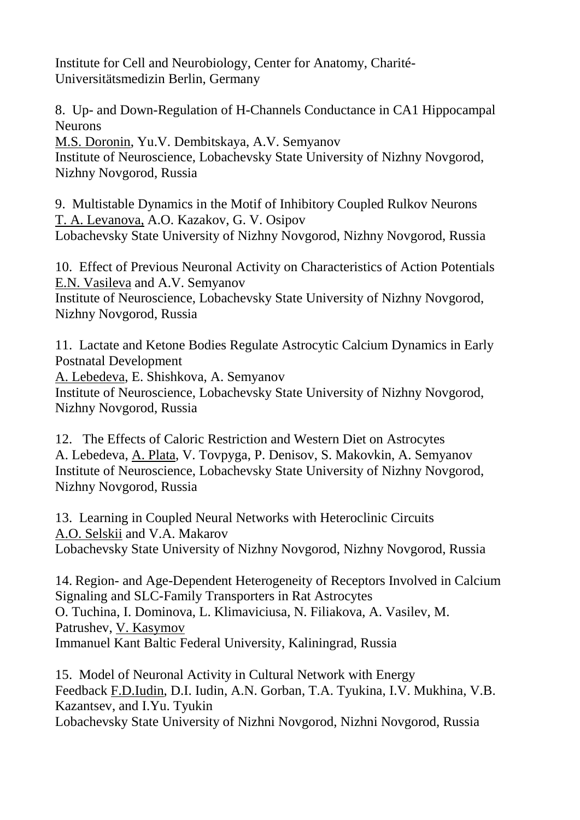Institute for Cell and Neurobiology, Center for Anatomy, Charité-Universitätsmedizin Berlin, Germany

8. Up- and Down-Regulation of H-Channels Conductance in CA1 Hippocampal **Neurons** 

M.S. Doronin, Yu.V. Dembitskaya, A.V. Semyanov Institute of Neuroscience, Lobachevsky State University of Nizhny Novgorod, Nizhny Novgorod, Russia

9. Multistable Dynamics in the Motif of Inhibitory Coupled Rulkov Neurons T. A. Levanova, A.O. Kazakov, G. V. Osipov Lobachevsky State University of Nizhny Novgorod, Nizhny Novgorod, Russia

10. Effect of Previous Neuronal Activity on Characteristics of Action Potentials E.N. Vasileva and A.V. Semyanov Institute of Neuroscience, Lobachevsky State University of Nizhny Novgorod,

Nizhny Novgorod, Russia

11. Lactate and Ketone Bodies Regulate Astrocytic Calcium Dynamics in Early Postnatal Development

A. Lebedeva, E. Shishkova, A. Semyanov

Institute of Neuroscience, Lobachevsky State University of Nizhny Novgorod, Nizhny Novgorod, Russia

12. The Effects of Caloric Restriction and Western Diet on Astrocytes A. Lebedeva, A. Plata, V. Tovpyga, P. Denisov, S. Makovkin, A. Semyanov Institute of Neuroscience, Lobachevsky State University of Nizhny Novgorod, Nizhny Novgorod, Russia

13. Learning in Coupled Neural Networks with Heteroclinic Circuits A.O. Selskii and V.A. Makarov Lobachevsky State University of Nizhny Novgorod, Nizhny Novgorod, Russia

14. Region- and Age-Dependent Heterogeneity of Receptors Involved in Calcium Signaling and SLC-Family Transporters in Rat Astrocytes O. Tuchina, I. Dominova, L. Klimaviciusa, N. Filiakova, A. Vasilev, M. Patrushev, V. Kasymov Immanuel Kant Baltic Federal University, Kaliningrad, Russia

15. Model of Neuronal Activity in Cultural Network with Energy Feedback F.D.Iudin, D.I. Iudin, A.N. Gorban, T.A. Tyukina, I.V. Mukhina, V.B. Kazantsev, and I.Yu. Tyukin Lobachevsky State University of Nizhni Novgorod, Nizhni Novgorod, Russia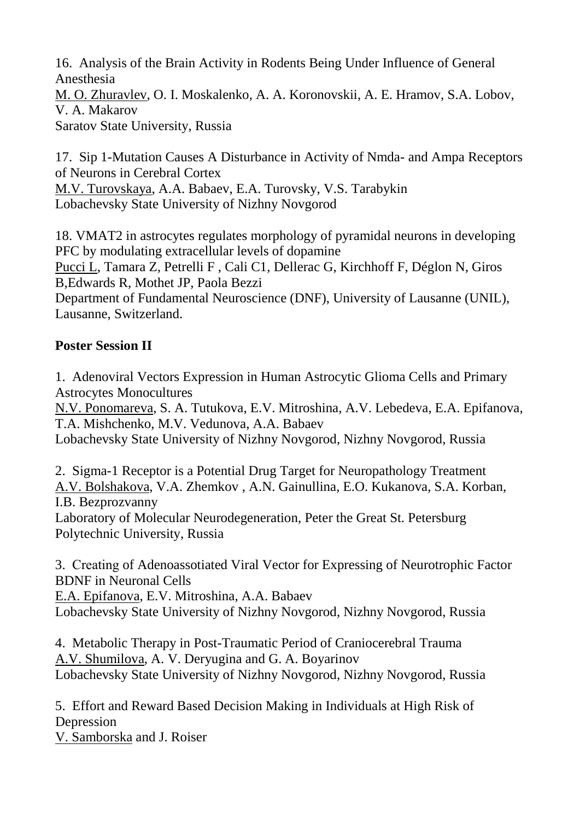16. Analysis of the Brain Activity in Rodents Being Under Influence of General Anesthesia M. O. Zhuravlev, O. I. Moskalenko, A. A. Koronovskii, A. E. Hramov, S.A. Lobov, V. A. Makarov Saratov State University, Russia

17. Sip 1-Mutation Causes A Disturbance in Activity of Nmda- and Ampa Receptors of Neurons in Cerebral Cortex M.V. Turovskaya, A.A. Babaev, E.A. Turovsky, V.S. Tarabykin Lobachevsky State University of Nizhny Novgorod

18. VMAT2 in astrocytes regulates morphology of pyramidal neurons in developing PFC by modulating extracellular levels of dopamine Pucci L, Tamara Z, Petrelli F , Cali C1, Dellerac G, Kirchhoff F, Déglon N, Giros B,Edwards R, Mothet JP, Paola Bezzi

Department of Fundamental Neuroscience (DNF), University of Lausanne (UNIL), Lausanne, Switzerland.

#### **Poster Session II**

1. Adenoviral Vectors Expression in Human Astrocytic Glioma Cells and Primary Astrocytes Monocultures

N.V. Ponomareva, S. A. Tutukova, E.V. Mitroshina, A.V. Lebedeva, E.A. Epifanova, T.A. Mishchenko, M.V. Vedunova, A.A. Babaev

Lobachevsky State University of Nizhny Novgorod, Nizhny Novgorod, Russia

2. Sigma-1 Receptor is a Potential Drug Target for Neuropathology Treatment A.V. Bolshakova, V.A. Zhemkov , A.N. Gainullina, E.O. Kukanova, S.A. Korban, I.B. Bezprozvanny

Laboratory of Molecular Neurodegeneration, Peter the Great St. Petersburg Polytechnic University, Russia

3. Сreating of Adenoassotiated Viral Vector for Expressing of Neurotrophic Factor BDNF in Neuronal Cells

E.A. Epifanova, E.V. Mitroshina, A.A. Babaev Lobachevsky State University of Nizhny Novgorod, Nizhny Novgorod, Russia

4. Metabolic Therapy in Post-Traumatic Period of Craniocerebral Trauma A.V. Shumilova, A. V. Deryugina and G. A. Boyarinov Lobachevsky State University of Nizhny Novgorod, Nizhny Novgorod, Russia

5. Effort and Reward Based Decision Making in Individuals at High Risk of Depression

V. Samborska and J. Roiser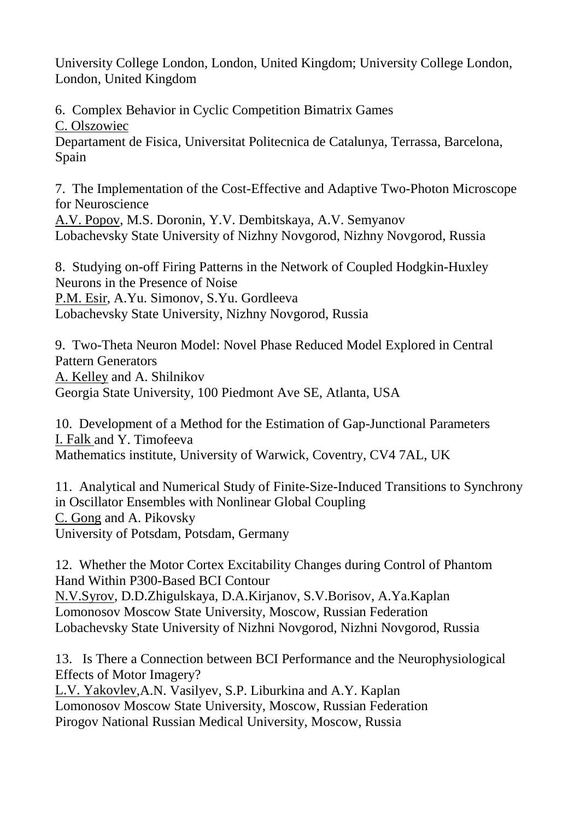University College London, London, United Kingdom; University College London, London, United Kingdom

6. Complex Behavior in Cyclic Competition Bimatrix Games C. Olszowiec Departament de Fisica, Universitat Politecnica de Catalunya, Terrassa, Barcelona, Spain

7. The Implementation of the Cost-Effective and Adaptive Two-Photon Microscope for Neuroscience A.V. Popov, M.S. Doronin, Y.V. Dembitskaya, A.V. Semyanov Lobachevsky State University of Nizhny Novgorod, Nizhny Novgorod, Russia

8. Studying on-off Firing Patterns in the Network of Coupled Hodgkin-Huxley Neurons in the Presence of Noise P.M. Esir, A.Yu. Simonov, S.Yu. Gordleeva Lobachevsky State University, Nizhny Novgorod, Russia

9. Two-Theta Neuron Model: Novel Phase Reduced Model Explored in Central Pattern Generators A. Kelley and A. Shilnikov Georgia State University, 100 Piedmont Ave SE, Atlanta, USA

10. Development of a Method for the Estimation of Gap-Junctional Parameters I. Falk and Y. Timofeeva Mathematics institute, University of Warwick, Coventry, CV4 7AL, UK

11. Analytical and Numerical Study of Finite-Size-Induced Transitions to Synchrony in Oscillator Ensembles with Nonlinear Global Coupling C. Gong and A. Pikovsky University of Potsdam, Potsdam, Germany

12. Whether the Motor Cortex Excitability Changes during Control of Phantom Hand Within P300-Based BCI Contour N.V.Syrov, D.D.Zhigulskaya, D.A.Kirjanov, S.V.Borisov, A.Ya.Kaplan Lomonosov Moscow State University, Moscow, Russian Federation Lobachevsky State University of Nizhni Novgorod, Nizhni Novgorod, Russia

13. Is There a Connection between BCI Performance and the Neurophysiological Effects of Motor Imagery?

L.V. Yakovlev,A.N. Vasilyev, S.P. Liburkina and A.Y. Kaplan Lomonosov Moscow State University, Moscow, Russian Federation Pirogov National Russian Medical University, Moscow, Russia